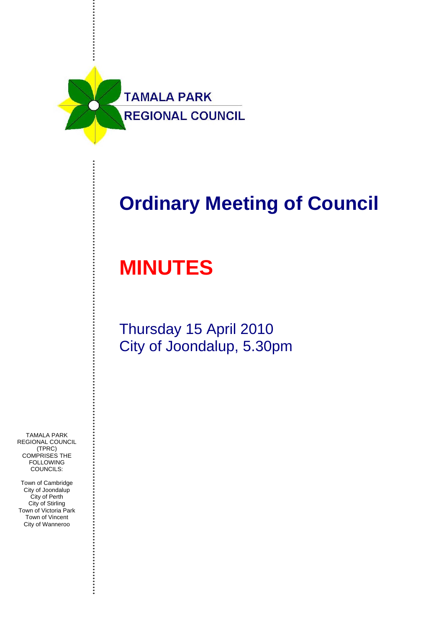

## **Ordinary Meeting of Council**

# **MINUTES**

### Thursday 15 April 2010 City of Joondalup, 5.30pm

TAMALA PARK REGIONAL COUNCIL (TPRC) COMPRISES THE **FOLLOWING** COUNCILS:

Town of Cambridge City of Joondalup City of Perth City of Stirling Town of Victoria Park Town of Vincent City of Wanneroo

..............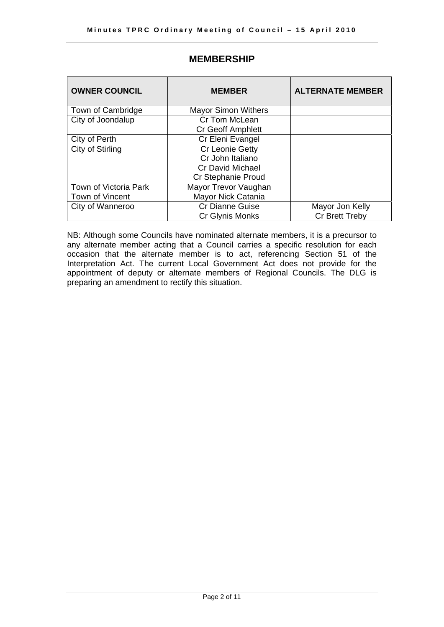| <b>OWNER COUNCIL</b>  | <b>MEMBER</b>              | <b>ALTERNATE MEMBER</b> |
|-----------------------|----------------------------|-------------------------|
| Town of Cambridge     | <b>Mayor Simon Withers</b> |                         |
| City of Joondalup     | Cr Tom McLean              |                         |
|                       | <b>Cr Geoff Amphlett</b>   |                         |
| City of Perth         | Cr Eleni Evangel           |                         |
| City of Stirling      | Cr Leonie Getty            |                         |
|                       | Cr John Italiano           |                         |
|                       | <b>Cr David Michael</b>    |                         |
|                       | Cr Stephanie Proud         |                         |
| Town of Victoria Park | Mayor Trevor Vaughan       |                         |
| Town of Vincent       | Mayor Nick Catania         |                         |
| City of Wanneroo      | <b>Cr Dianne Guise</b>     | Mayor Jon Kelly         |
|                       | Cr Glynis Monks            | Cr Brett Treby          |

### **MEMBERSHIP**

NB: Although some Councils have nominated alternate members, it is a precursor to any alternate member acting that a Council carries a specific resolution for each occasion that the alternate member is to act, referencing Section 51 of the Interpretation Act. The current Local Government Act does not provide for the appointment of deputy or alternate members of Regional Councils. The DLG is preparing an amendment to rectify this situation.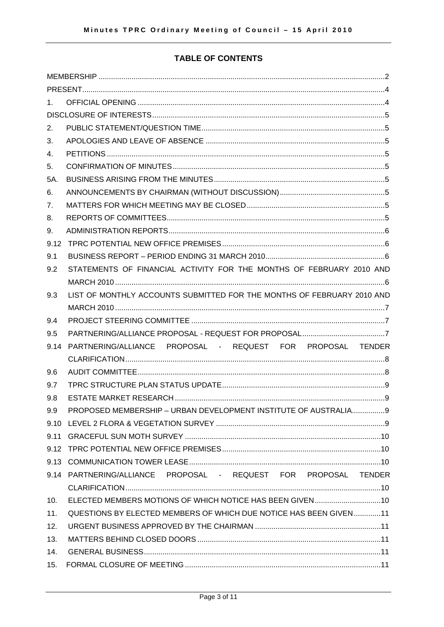#### **TABLE OF CONTENTS**

| 1.   |                                                                        |  |  |
|------|------------------------------------------------------------------------|--|--|
|      |                                                                        |  |  |
| 2.   |                                                                        |  |  |
| 3.   |                                                                        |  |  |
| 4.   |                                                                        |  |  |
| 5.   |                                                                        |  |  |
| 5A.  |                                                                        |  |  |
| 6.   |                                                                        |  |  |
| 7.   |                                                                        |  |  |
| 8.   |                                                                        |  |  |
| 9.   |                                                                        |  |  |
| 9.12 |                                                                        |  |  |
| 9.1  |                                                                        |  |  |
| 9.2  | STATEMENTS OF FINANCIAL ACTIVITY FOR THE MONTHS OF FEBRUARY 2010 AND   |  |  |
|      |                                                                        |  |  |
| 9.3  | LIST OF MONTHLY ACCOUNTS SUBMITTED FOR THE MONTHS OF FEBRUARY 2010 AND |  |  |
|      |                                                                        |  |  |
| 9.4  |                                                                        |  |  |
| 9.5  |                                                                        |  |  |
| 9.14 | PARTNERING/ALLIANCE PROPOSAL - REQUEST FOR PROPOSAL TENDER             |  |  |
|      |                                                                        |  |  |
| 9.6  |                                                                        |  |  |
| 9.7  |                                                                        |  |  |
| 9.8  |                                                                        |  |  |
| 9.9  | PROPOSED MEMBERSHIP - URBAN DEVELOPMENT INSTITUTE OF AUSTRALIA9        |  |  |
|      |                                                                        |  |  |
|      |                                                                        |  |  |
|      |                                                                        |  |  |
|      |                                                                        |  |  |
|      | 9.14 PARTNERING/ALLIANCE PROPOSAL - REQUEST FOR PROPOSAL TENDER        |  |  |
|      |                                                                        |  |  |
| 10.  |                                                                        |  |  |
| 11.  | QUESTIONS BY ELECTED MEMBERS OF WHICH DUE NOTICE HAS BEEN GIVEN11      |  |  |
| 12.  |                                                                        |  |  |
| 13.  |                                                                        |  |  |
| 14.  |                                                                        |  |  |
| 15.  |                                                                        |  |  |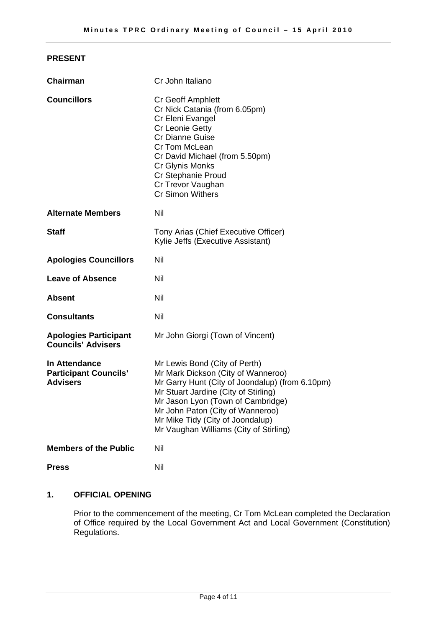#### **PRESENT**

| <b>Chairman</b>                                                  | Cr John Italiano                                                                                                                                                                                                                                                                                                      |
|------------------------------------------------------------------|-----------------------------------------------------------------------------------------------------------------------------------------------------------------------------------------------------------------------------------------------------------------------------------------------------------------------|
| <b>Councillors</b>                                               | Cr Geoff Amphlett<br>Cr Nick Catania (from 6.05pm)<br>Cr Eleni Evangel<br>Cr Leonie Getty<br><b>Cr Dianne Guise</b><br>Cr Tom McLean<br>Cr David Michael (from 5.50pm)<br>Cr Glynis Monks<br>Cr Stephanie Proud<br>Cr Trevor Vaughan<br><b>Cr Simon Withers</b>                                                       |
| <b>Alternate Members</b>                                         | <b>Nil</b>                                                                                                                                                                                                                                                                                                            |
| <b>Staff</b>                                                     | Tony Arias (Chief Executive Officer)<br>Kylie Jeffs (Executive Assistant)                                                                                                                                                                                                                                             |
| <b>Apologies Councillors</b>                                     | Nil                                                                                                                                                                                                                                                                                                                   |
| <b>Leave of Absence</b>                                          | Nil                                                                                                                                                                                                                                                                                                                   |
| <b>Absent</b>                                                    | <b>Nil</b>                                                                                                                                                                                                                                                                                                            |
| <b>Consultants</b>                                               | Nil                                                                                                                                                                                                                                                                                                                   |
| <b>Apologies Participant</b><br><b>Councils' Advisers</b>        | Mr John Giorgi (Town of Vincent)                                                                                                                                                                                                                                                                                      |
| In Attendance<br><b>Participant Councils'</b><br><b>Advisers</b> | Mr Lewis Bond (City of Perth)<br>Mr Mark Dickson (City of Wanneroo)<br>Mr Garry Hunt (City of Joondalup) (from 6.10pm)<br>Mr Stuart Jardine (City of Stirling)<br>Mr Jason Lyon (Town of Cambridge)<br>Mr John Paton (City of Wanneroo)<br>Mr Mike Tidy (City of Joondalup)<br>Mr Vaughan Williams (City of Stirling) |
| <b>Members of the Public</b>                                     | Nil                                                                                                                                                                                                                                                                                                                   |
| <b>Press</b>                                                     | Nil                                                                                                                                                                                                                                                                                                                   |

#### **1. OFFICIAL OPENING**

Prior to the commencement of the meeting, Cr Tom McLean completed the Declaration of Office required by the Local Government Act and Local Government (Constitution) Regulations.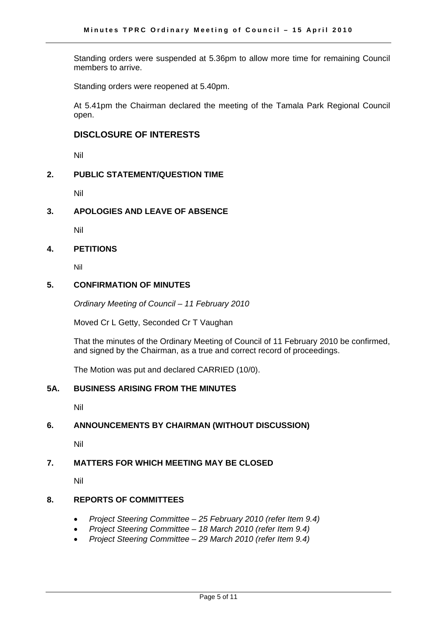Standing orders were suspended at 5.36pm to allow more time for remaining Council members to arrive.

Standing orders were reopened at 5.40pm.

At 5.41pm the Chairman declared the meeting of the Tamala Park Regional Council open.

#### **DISCLOSURE OF INTERESTS**

Nil

#### **2. PUBLIC STATEMENT/QUESTION TIME**

Nil

#### **3. APOLOGIES AND LEAVE OF ABSENCE**

Nil

#### **4. PETITIONS**

Nil

#### **5. CONFIRMATION OF MINUTES**

*Ordinary Meeting of Council – 11 February 2010* 

Moved Cr L Getty, Seconded Cr T Vaughan

That the minutes of the Ordinary Meeting of Council of 11 February 2010 be confirmed, and signed by the Chairman, as a true and correct record of proceedings.

The Motion was put and declared CARRIED (10/0).

#### **5A. BUSINESS ARISING FROM THE MINUTES**

Nil

#### **6. ANNOUNCEMENTS BY CHAIRMAN (WITHOUT DISCUSSION)**

Nil

#### **7. MATTERS FOR WHICH MEETING MAY BE CLOSED**

Nil

#### **8. REPORTS OF COMMITTEES**

- *Project Steering Committee 25 February 2010 (refer Item 9.4)*
- *Project Steering Committee 18 March 2010 (refer Item 9.4)*
- *Project Steering Committee 29 March 2010 (refer Item 9.4)*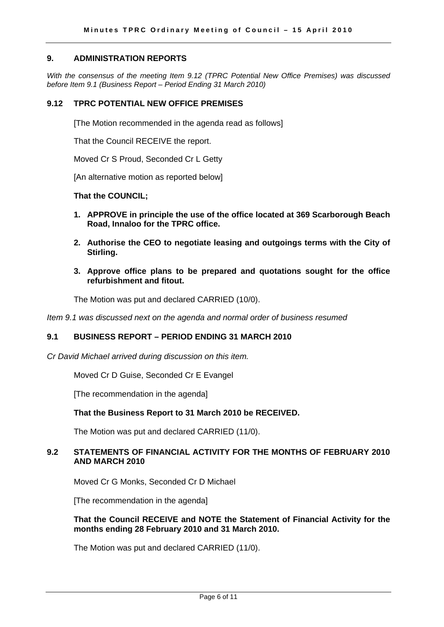#### **9. ADMINISTRATION REPORTS**

*With the consensus of the meeting Item 9.12 (TPRC Potential New Office Premises) was discussed before Item 9.1 (Business Report – Period Ending 31 March 2010)* 

#### **9.12 TPRC POTENTIAL NEW OFFICE PREMISES**

[The Motion recommended in the agenda read as follows]

That the Council RECEIVE the report.

Moved Cr S Proud, Seconded Cr L Getty

[An alternative motion as reported below]

#### **That the COUNCIL;**

- **1. APPROVE in principle the use of the office located at 369 Scarborough Beach Road, Innaloo for the TPRC office.**
- **2. Authorise the CEO to negotiate leasing and outgoings terms with the City of Stirling.**
- **3. Approve office plans to be prepared and quotations sought for the office refurbishment and fitout.**

The Motion was put and declared CARRIED (10/0).

*Item 9.1 was discussed next on the agenda and normal order of business resumed* 

#### **9.1 BUSINESS REPORT – PERIOD ENDING 31 MARCH 2010**

*Cr David Michael arrived during discussion on this item.* 

Moved Cr D Guise, Seconded Cr E Evangel

[The recommendation in the agenda]

#### **That the Business Report to 31 March 2010 be RECEIVED.**

The Motion was put and declared CARRIED (11/0).

#### **9.2 STATEMENTS OF FINANCIAL ACTIVITY FOR THE MONTHS OF FEBRUARY 2010 AND MARCH 2010**

Moved Cr G Monks, Seconded Cr D Michael

[The recommendation in the agenda]

#### **That the Council RECEIVE and NOTE the Statement of Financial Activity for the months ending 28 February 2010 and 31 March 2010.**

The Motion was put and declared CARRIED (11/0).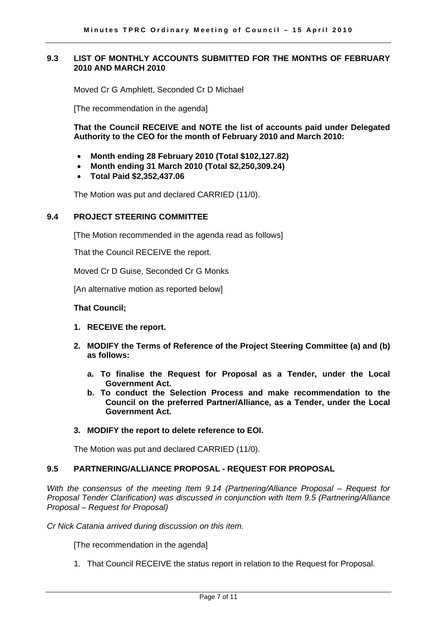#### **9.3 LIST OF MONTHLY ACCOUNTS SUBMITTED FOR THE MONTHS OF FEBRUARY 2010 AND MARCH 2010**

Moved Cr G Amphlett, Seconded Cr D Michael

[The recommendation in the agenda]

**That the Council RECEIVE and NOTE the list of accounts paid under Delegated Authority to the CEO for the month of February 2010 and March 2010:** 

- **Month ending 28 February 2010 (Total \$102,127.82)**
- **Month ending 31 March 2010 (Total \$2,250,309.24)**
- **Total Paid \$2,352,437.06**

The Motion was put and declared CARRIED (11/0).

#### **9.4 PROJECT STEERING COMMITTEE**

[The Motion recommended in the agenda read as follows]

That the Council RECEIVE the report.

Moved Cr D Guise, Seconded Cr G Monks

[An alternative motion as reported below]

#### **That Council;**

- **1. RECEIVE the report.**
- **2. MODIFY the Terms of Reference of the Project Steering Committee (a) and (b) as follows:** 
	- **a. To finalise the Request for Proposal as a Tender, under the Local Government Act.**
	- **b. To conduct the Selection Process and make recommendation to the Council on the preferred Partner/Alliance, as a Tender, under the Local Government Act.**

#### **3. MODIFY the report to delete reference to EOI.**

The Motion was put and declared CARRIED (11/0).

#### **9.5 PARTNERING/ALLIANCE PROPOSAL - REQUEST FOR PROPOSAL**

*With the consensus of the meeting Item 9.14 (Partnering/Alliance Proposal – Request for Proposal Tender Clarification) was discussed in conjunction with Item 9.5 (Partnering/Alliance Proposal – Request for Proposal)* 

*Cr Nick Catania arrived during discussion on this item.* 

[The recommendation in the agenda]

1. That Council RECEIVE the status report in relation to the Request for Proposal.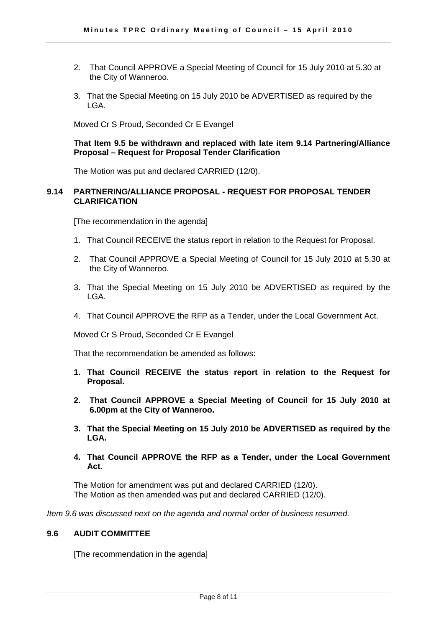- 2. That Council APPROVE a Special Meeting of Council for 15 July 2010 at 5.30 at the City of Wanneroo.
- 3. That the Special Meeting on 15 July 2010 be ADVERTISED as required by the LGA.

Moved Cr S Proud, Seconded Cr E Evangel

#### **That Item 9.5 be withdrawn and replaced with late item 9.14 Partnering/Alliance Proposal – Request for Proposal Tender Clarification**

The Motion was put and declared CARRIED (12/0).

#### **9.14 PARTNERING/ALLIANCE PROPOSAL - REQUEST FOR PROPOSAL TENDER CLARIFICATION**

[The recommendation in the agenda]

- 1. That Council RECEIVE the status report in relation to the Request for Proposal.
- 2. That Council APPROVE a Special Meeting of Council for 15 July 2010 at 5.30 at the City of Wanneroo.
- 3. That the Special Meeting on 15 July 2010 be ADVERTISED as required by the LGA.
- 4. That Council APPROVE the RFP as a Tender, under the Local Government Act.

Moved Cr S Proud, Seconded Cr E Evangel

That the recommendation be amended as follows:

- **1. That Council RECEIVE the status report in relation to the Request for Proposal.**
- **2. That Council APPROVE a Special Meeting of Council for 15 July 2010 at 6.00pm at the City of Wanneroo.**
- **3. That the Special Meeting on 15 July 2010 be ADVERTISED as required by the LGA.**
- **4. That Council APPROVE the RFP as a Tender, under the Local Government Act.**

The Motion for amendment was put and declared CARRIED (12/0). The Motion as then amended was put and declared CARRIED (12/0).

*Item 9.6 was discussed next on the agenda and normal order of business resumed.* 

#### **9.6 AUDIT COMMITTEE**

[The recommendation in the agenda]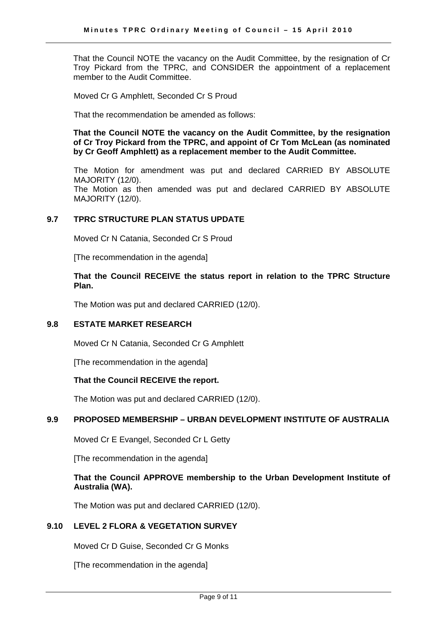That the Council NOTE the vacancy on the Audit Committee, by the resignation of Cr Troy Pickard from the TPRC, and CONSIDER the appointment of a replacement member to the Audit Committee.

Moved Cr G Amphlett, Seconded Cr S Proud

That the recommendation be amended as follows:

**That the Council NOTE the vacancy on the Audit Committee, by the resignation of Cr Troy Pickard from the TPRC, and appoint of Cr Tom McLean (as nominated by Cr Geoff Amphlett) as a replacement member to the Audit Committee.** 

The Motion for amendment was put and declared CARRIED BY ABSOLUTE MAJORITY (12/0). The Motion as then amended was put and declared CARRIED BY ABSOLUTE MAJORITY (12/0).

#### **9.7 TPRC STRUCTURE PLAN STATUS UPDATE**

Moved Cr N Catania, Seconded Cr S Proud

[The recommendation in the agenda]

#### **That the Council RECEIVE the status report in relation to the TPRC Structure Plan.**

The Motion was put and declared CARRIED (12/0).

#### **9.8 ESTATE MARKET RESEARCH**

Moved Cr N Catania, Seconded Cr G Amphlett

[The recommendation in the agenda]

#### **That the Council RECEIVE the report.**

The Motion was put and declared CARRIED (12/0).

#### **9.9 PROPOSED MEMBERSHIP – URBAN DEVELOPMENT INSTITUTE OF AUSTRALIA**

Moved Cr E Evangel, Seconded Cr L Getty

[The recommendation in the agenda]

#### **That the Council APPROVE membership to the Urban Development Institute of Australia (WA).**

The Motion was put and declared CARRIED (12/0).

#### **9.10 LEVEL 2 FLORA & VEGETATION SURVEY**

Moved Cr D Guise, Seconded Cr G Monks

[The recommendation in the agenda]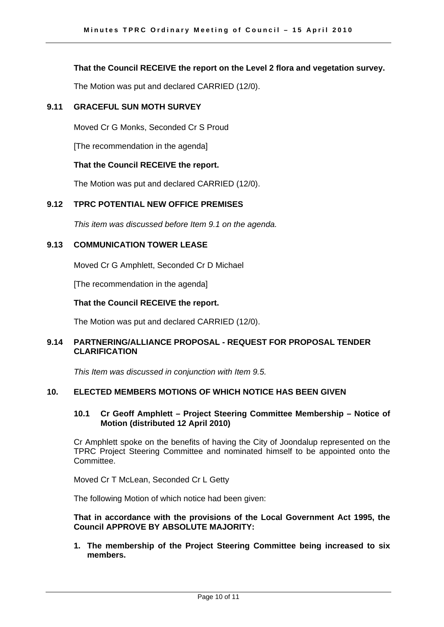#### **That the Council RECEIVE the report on the Level 2 flora and vegetation survey.**

The Motion was put and declared CARRIED (12/0).

#### **9.11 GRACEFUL SUN MOTH SURVEY**

Moved Cr G Monks, Seconded Cr S Proud

[The recommendation in the agenda]

#### **That the Council RECEIVE the report.**

The Motion was put and declared CARRIED (12/0).

#### **9.12 TPRC POTENTIAL NEW OFFICE PREMISES**

*This item was discussed before Item 9.1 on the agenda.* 

#### **9.13 COMMUNICATION TOWER LEASE**

Moved Cr G Amphlett, Seconded Cr D Michael

[The recommendation in the agenda]

#### **That the Council RECEIVE the report.**

The Motion was put and declared CARRIED (12/0).

#### **9.14 PARTNERING/ALLIANCE PROPOSAL - REQUEST FOR PROPOSAL TENDER CLARIFICATION**

*This Item was discussed in conjunction with Item 9.5.* 

#### **10. ELECTED MEMBERS MOTIONS OF WHICH NOTICE HAS BEEN GIVEN**

#### **10.1 Cr Geoff Amphlett – Project Steering Committee Membership – Notice of Motion (distributed 12 April 2010)**

Cr Amphlett spoke on the benefits of having the City of Joondalup represented on the TPRC Project Steering Committee and nominated himself to be appointed onto the Committee.

Moved Cr T McLean, Seconded Cr L Getty

The following Motion of which notice had been given:

#### **That in accordance with the provisions of the Local Government Act 1995, the Council APPROVE BY ABSOLUTE MAJORITY:**

**1. The membership of the Project Steering Committee being increased to six members.**